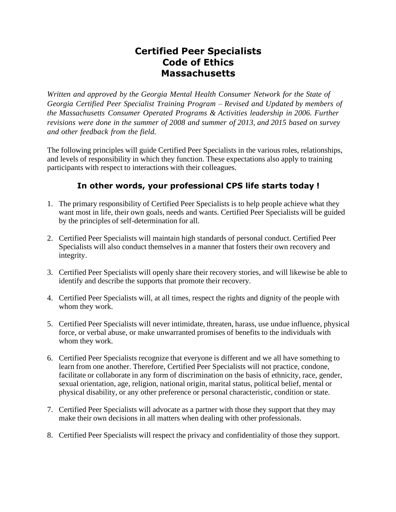## **Certified Peer Specialists Code of Ethics Massachusetts**

*Written and approved by the Georgia Mental Health Consumer Network for the State of Georgia Certified Peer Specialist Training Program – Revised and Updated by members of the Massachusetts Consumer Operated Programs & Activities leadership in 2006. Further revisions were done in the summer of 2008 and summer of 2013, and 2015 based on survey and other feedback from the field.*

The following principles will guide Certified Peer Specialists in the various roles, relationships, and levels of responsibility in which they function. These expectations also apply to training participants with respect to interactions with their colleagues.

## **In other words, your professional CPS life starts today !**

- 1. The primary responsibility of Certified Peer Specialists is to help people achieve what they want most in life, their own goals, needs and wants. Certified Peer Specialists will be guided by the principles of self-determination for all.
- 2. Certified Peer Specialists will maintain high standards of personal conduct. Certified Peer Specialists will also conduct themselves in a manner that fosters their own recovery and integrity.
- 3. Certified Peer Specialists will openly share their recovery stories, and will likewise be able to identify and describe the supports that promote their recovery.
- 4. Certified Peer Specialists will, at all times, respect the rights and dignity of the people with whom they work.
- 5. Certified Peer Specialists will never intimidate, threaten, harass, use undue influence, physical force, or verbal abuse, or make unwarranted promises of benefits to the individuals with whom they work.
- 6. Certified Peer Specialists recognize that everyone is different and we all have something to learn from one another. Therefore, Certified Peer Specialists will not practice, condone, facilitate or collaborate in any form of discrimination on the basis of ethnicity, race, gender, sexual orientation, age, religion, national origin, marital status, political belief, mental or physical disability, or any other preference or personal characteristic, condition or state.
- 7. Certified Peer Specialists will advocate as a partner with those they support that they may make their own decisions in all matters when dealing with other professionals.
- 8. Certified Peer Specialists will respect the privacy and confidentiality of those they support.